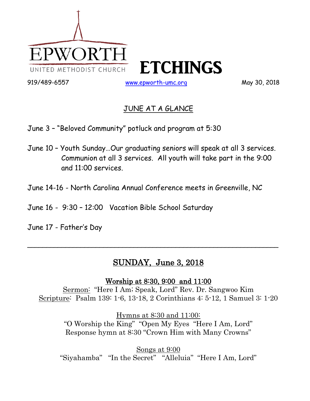

## JUNE AT A GLANCE

June 3 – "Beloved Community" potluck and program at 5:30

- June 10 Youth Sunday…Our graduating seniors will speak at all 3 services. Communion at all 3 services. All youth will take part in the 9:00 and 11:00 services.
- June 14-16 North Carolina Annual Conference meets in Greenville, NC
- June 16 9:30 12:00 Vacation Bible School Saturday
- June 17 Father's Day

## SUNDAY, June 3, 2018

 $\sim$  . The contract of the contract of the contract of the contract of the contract of the contract of the contract of

Worship at 8:30, 9:00 and 11:00

Sermon: "Here I Am; Speak, Lord" Rev. Dr. Sangwoo Kim Scripture: Psalm 139: 1-6, 13-18, 2 Corinthians 4: 5-12, 1 Samuel 3: 1-20

> Hymns at 8:30 and 11:00: "O Worship the King" "Open My Eyes "Here I Am, Lord" Response hymn at 8:30 "Crown Him with Many Crowns"

Songs at 9:00 "Siyahamba" "In the Secret" "Alleluia" "Here I Am, Lord"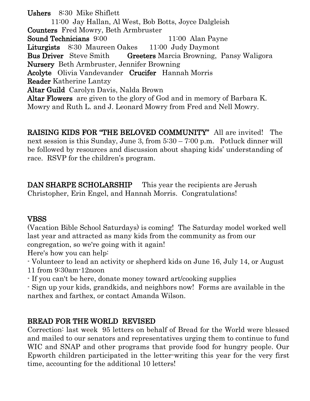Ushers 8:30 Mike Shiflett 11:00 Jay Hallan, Al West, Bob Botts, Joyce Dalgleish Counters Fred Mowry, Beth Armbruster Sound Technicians 9:00 11:00 Alan Payne Liturgists 8:30 Maureen Oakes 11:00 Judy Daymont Bus Driver Steve Smith Greeters Marcia Browning, Pansy Waligora Nursery Beth Armbruster, Jennifer Browning Acolyte Olivia Vandevander Crucifer Hannah Morris Reader Katherine Lantzy Altar Guild Carolyn Davis, Nalda Brown Altar Flowers are given to the glory of God and in memory of Barbara K. Mowry and Ruth L. and J. Leonard Mowry from Fred and Nell Mowry.

RAISING KIDS FOR "THE BELOVED COMMUNITY" All are invited! The next session is this Sunday, June 3, from 5:30 – 7:00 p.m. Potluck dinner will be followed by resources and discussion about shaping kids' understanding of race. RSVP for the children's program.

DAN SHARPE SCHOLARSHIP This year the recipients are Jerush Christopher, Erin Engel, and Hannah Morris. Congratulations!

#### **VBSS**

(Vacation Bible School Saturdays) is coming! The Saturday model worked well last year and attracted as many kids from the community as from our congregation, so we're going with it again!

Here's how you can help:

- Volunteer to lead an activity or shepherd kids on June 16, July 14, or August 11 from 9:30am-12noon

- If you can't be here, donate money toward art/cooking supplies

- Sign up your kids, grandkids, and neighbors now! Forms are available in the narthex and farthex, or contact Amanda Wilson.

## BREAD FOR THE WORLD REVISED

Correction: last week 95 letters on behalf of Bread for the World were blessed and mailed to our senators and representatives urging them to continue to fund WIC and SNAP and other programs that provide food for hungry people. Our Epworth children participated in the letter-writing this year for the very first time, accounting for the additional 10 letters!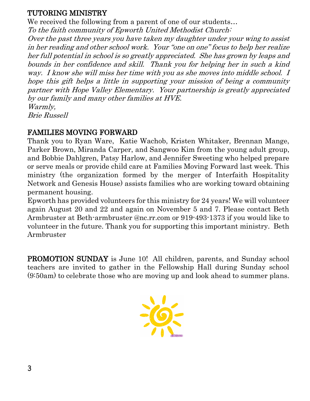## TUTORING MINISTRY

We received the following from a parent of one of our students... To the faith community of Epworth United Methodist Church: Over the past three years you have taken my daughter under your wing to assist in her reading and other school work. Your "one on one" focus to help her realize her full potential in school is so greatly appreciated. She has grown by leaps and bounds in her confidence and skill. Thank you for helping her in such a kind way. I know she will miss her time with you as she moves into middle school. I hope this gift helps a little in supporting your mission of being a community partner with Hope Valley Elementary. Your partnership is greatly appreciated by our family and many other families at HVE. Warmly,

Brie Russell

#### FAMILIES MOVING FORWARD

Thank you to Ryan Ware, Katie Wachob, Kristen Whitaker, Brennan Mange, Parker Brown, Miranda Carper, and Sangwoo Kim from the young adult group, and Bobbie Dahlgren, Patsy Harlow, and Jennifer Sweeting who helped prepare or serve meals or provide child care at Families Moving Forward last week. This ministry (the organization formed by the merger of Interfaith Hospitality Network and Genesis House) assists families who are working toward obtaining permanent housing.

Epworth has provided volunteers for this ministry for 24 years! We will volunteer again August 20 and 22 and again on November 5 and 7. Please contact Beth Armbruster at Beth-armbruster @nc.rr.com or 919-493-1373 if you would like to volunteer in the future. Thank you for supporting this important ministry. Beth Armbruster

PROMOTION SUNDAY is June 10! All children, parents, and Sunday school teachers are invited to gather in the Fellowship Hall during Sunday school (9:50am) to celebrate those who are moving up and look ahead to summer plans.

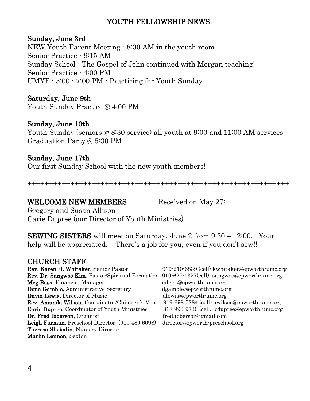## YOUTH FELLOWSHIP NEWS

#### Sunday, June 3rd

NEW Youth Parent Meeting - 8:30 AM in the youth room Senior Practice - 9:15 AM Sunday School - The Gospel of John continued with Morgan teaching! Senior Practice - 4:00 PM UMYF - 5:00 - 7:00 PM - Practicing for Youth Sunday

#### Saturday, June 9th

Youth Sunday Practice @ 4:00 PM

#### Sunday, June 10th

Youth Sunday (seniors @ 8:30 service) all youth at 9:00 and 11:00 AM services Graduation Party @ 5:30 PM

#### Sunday, June 17th

Our first Sunday School with the new youth members!

+++++++++++++++++++++++++++++++++++++++++++++++++++++++++++++

#### WELCOME NEW MEMBERS Received on May 27:

Gregory and Susan Allison Carie Dupree (our Director of Youth Ministries)

SEWING SISTERS will meet on Saturday, June 2 from 9:30 – 12:00. Your help will be appreciated. There's a job for you, even if you don't sew!!

#### CHURCH STAFF

| Rev. Karen H. Whitaker, Senior Pastor            | 919-210-6839 (cell) kwhitaker@epworth-umc.org |  |  |  |
|--------------------------------------------------|-----------------------------------------------|--|--|--|
| Rev. Dr. Sangwoo Kim, Pastor/Spiritual Formation | 919-627-1357(cell) sangwoo@epworth-umc.org    |  |  |  |
| Meg Bass, Financial Manager                      | mbass@epworth-umc.org                         |  |  |  |
| Dona Gamble, Administrative Secretary            | dgamble@epworth-umc.org                       |  |  |  |
| David Lewis, Director of Music                   | dlewis@epworth-umc.org                        |  |  |  |
| Rev. Amanda Wilson, Coordinator/Children's Min.  | 919-698-5284 (cell) awilson@epworth-umc.org   |  |  |  |
| Carie Dupree, Coordinator of Youth Ministries    | 318-990-9730 (cell) cdupree@epworth-umc.org   |  |  |  |
| Dr. Fred Ibberson, Organist                      | fred.ibberson@gmail.com                       |  |  |  |
| Leigh Furman, Preschool Director (919 489 6098)  | director@epworth-preschool.org                |  |  |  |
| Theresa Shebalin, Nursery Director               |                                               |  |  |  |
| Marlin Lennon, Sexton                            |                                               |  |  |  |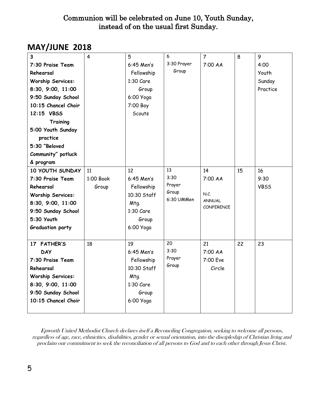## Communion will be celebrated on June 10, Youth Sunday, instead of on the usual first Sunday.

## **MAY/JUNE 2018**

| $\overline{\mathbf{3}}$  | $\overline{4}$ | 5            | 6                   | $\overline{7}$                     | 8  | 9           |
|--------------------------|----------------|--------------|---------------------|------------------------------------|----|-------------|
| 7:30 Praise Team         |                | $6:45$ Men's | 3:30 Prayer         | 7:00 AA                            |    | 4:00        |
| Rehearsal                |                | Fellowship   | Group               |                                    |    | Youth       |
| <b>Worship Services:</b> |                | $1:30$ Care  |                     |                                    |    | Sunday      |
| 8:30, 9:00, 11:00        |                | Group        |                     |                                    |    | Practice    |
| 9:50 Sunday School       |                | 6:00 Yoga    |                     |                                    |    |             |
| 10:15 Chancel Choir      |                | 7:00 Boy     |                     |                                    |    |             |
| 12:15 VBSS               |                | Scouts       |                     |                                    |    |             |
| Training                 |                |              |                     |                                    |    |             |
| 5:00 Youth Sunday        |                |              |                     |                                    |    |             |
| practice                 |                |              |                     |                                    |    |             |
| 5:30 "Beloved            |                |              |                     |                                    |    |             |
| Community" potluck       |                |              |                     |                                    |    |             |
| & program                |                |              |                     |                                    |    |             |
| 10 YOUTH SUNDAY          | 11             | 12           | 13                  | 14                                 | 15 | 16          |
| 7:30 Praise Team         | 1:00 Book      | $6:45$ Men's | 3:30                | 7:00 AA                            |    | 9:30        |
| Rehearsal                | Group          | Fellowship   | Prayer              |                                    |    | <b>VBSS</b> |
| <b>Worship Services:</b> |                | 10:30 Staff  | Group<br>6:30 UMMen | N.C.                               |    |             |
| 8:30, 9:00, 11:00        |                | Mtg.         |                     | <b>ANNUAL</b><br><b>CONFERENCE</b> |    |             |
| 9:50 Sunday School       |                | $1:30$ Care  |                     |                                    |    |             |
| 5:30 Youth               |                | Group        |                     |                                    |    |             |
| <b>Graduation party</b>  |                | 6:00 Yoga    |                     |                                    |    |             |
|                          |                |              |                     |                                    |    |             |
| 17 FATHER'S              | 18             | 19           | 20                  | 21                                 | 22 | 23          |
| <b>DAY</b>               |                | $6:45$ Men's | 3:30                | 7:00 AA                            |    |             |
| 7:30 Praise Team         |                | Fellowship   | Prayer              | 7:00 Eve                           |    |             |
| Rehearsal                |                | 10:30 Staff  | Group               | Circle                             |    |             |
| <b>Worship Services:</b> |                | Mtg.         |                     |                                    |    |             |
| 8:30, 9:00, 11:00        |                | 1:30 Care    |                     |                                    |    |             |
| 9:50 Sunday School       |                | Group        |                     |                                    |    |             |
| 10:15 Chancel Choir      |                | 6:00 Yoga    |                     |                                    |    |             |
|                          |                |              |                     |                                    |    |             |

Epworth United Methodist Church declares itself a Reconciling Congregation, seeking to welcome all persons, regardless of age, race, ethnicities, disabilities, gender or sexual orientation, into the discipleship of Christian living and proclaim our commitment to seek the reconciliation of all persons to God and to each other through Jesus Christ.